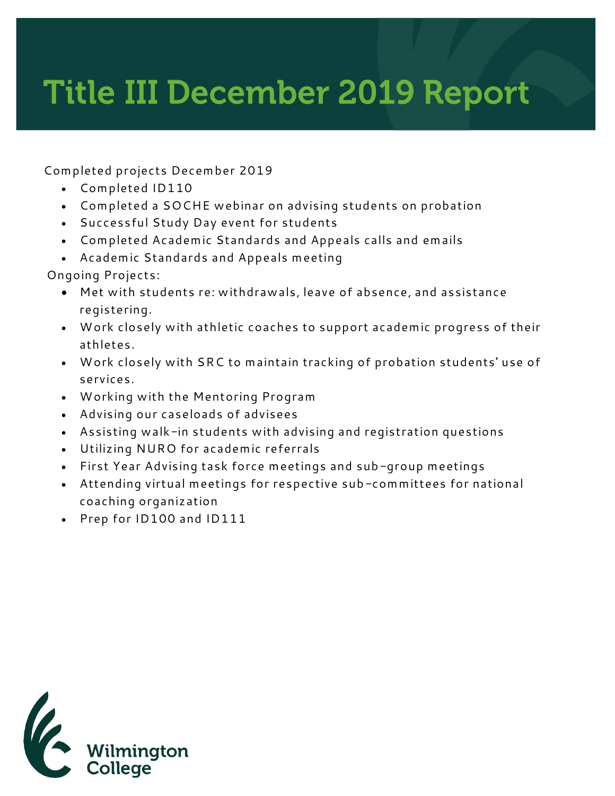## **Title III December 2019 Report**

**Completed projects December 2019**

- **Completed ID110**
- **Completed a SOCHE webinar on advising students on probation**
- **Successful Study Day event for students**
- **Completed Academic Standards and Appeals calls and emails**
- **Academic Standards and Appeals meeting**

**Ongoing Projects:**

- **Met with students re: withdrawals, leave of absence, and assistance registering.**
- **Work closely with athletic coaches to support academic progress of their athletes.**
- **Work closely with SRC to maintain tracking of probation students' use of services.**
- **Working with the Mentoring Program**
- **Advising our caseloads of advisees**
- **Assisting walk-in students with advising and registration questions**
- **Utilizing NURO for academic referrals**
- **First Year Advising task force meetings and sub-group meetings**
- **Attending virtual meetings for respective sub-committees for national coaching organization**
- **Prep for ID100 and ID111**

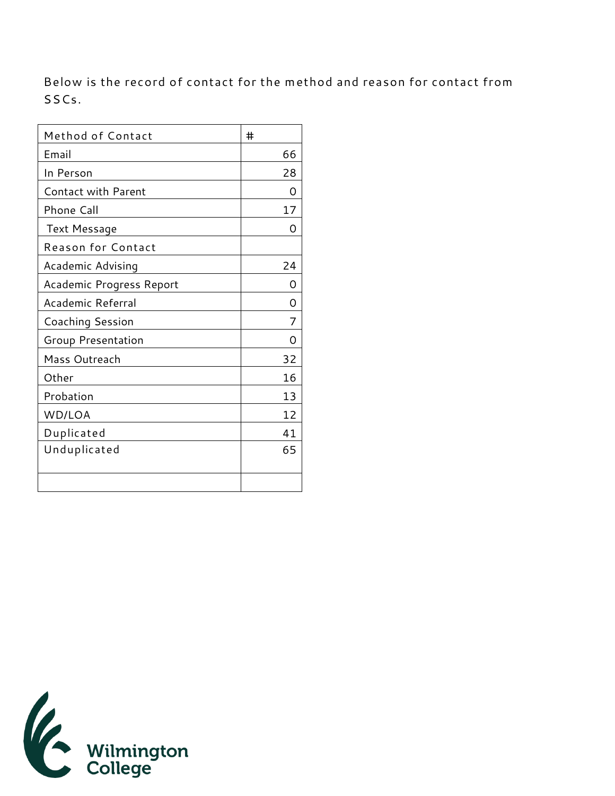**Below is the record of contact for the method and reason for contact from SSCs.** 

| Method of Contact         | #  |
|---------------------------|----|
| Email                     | 66 |
| In Person                 | 28 |
| Contact with Parent       | Ω  |
| Phone Call                | 17 |
| Text Message              | Ω  |
| <b>Reason for Contact</b> |    |
| Academic Advising         | 24 |
| Academic Progress Report  | O  |
| Academic Referral         | O  |
| Coaching Session          | 7  |
| Group Presentation        | Ω  |
| Mass Outreach             | 32 |
| Other                     | 16 |
| Probation                 | 13 |
| WD/LOA                    | 12 |
| Duplicated                | 41 |
| Unduplicated              | 65 |
|                           |    |